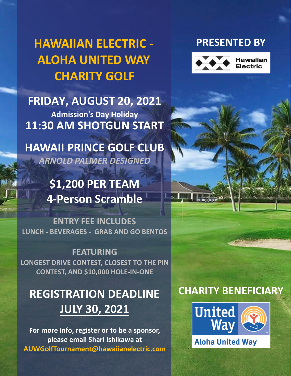# **HAWAIIAN ELECTRIC - ALOHA UNITED WAY CHARITY GOLF**

**FRIDAY, AUGUST 20, 2021 Admission's Day Holiday 11:30 AM SHOTGUN START**

**HAWAII PRINCE GOLF CLUB** *ARNOLD PALMER DESIGNED*

> **\$1,200 PER TEAM 4-Person Scramble**

 **LUNCH - BEVERAGES - GRAB AND GO BENTOS ENTRY FEE INCLUDES**

**FEATURING LONGEST DRIVE CONTEST, CLOSEST TO THE PIN CONTEST, AND \$10,000 HOLE-IN-ONE**

# **REGISTRATION DEADLINE JULY 30, 2021**

**For more info, register or to be a sponsor, please email [Shari Ishikawa](mailto:AUWGolfTournament@hawaiianelectric.com?subject=2021%20Hawaiian%20Electric%20-%20Aloha%20United%20Way%20Charity%20Golf%20Tournament) at [AUWGolfTournament@hawaiianelectric.com](mailto:AUWGolfTournament@hawaiianelectric.com)**

### **PRESENTED BY**



## **CHARITY BENEFICIARY**

- 51

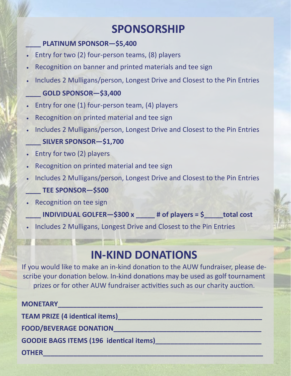## **SPONSORSHIP**

#### **\_\_\_\_ PLATINUM SPONSOR—\$5,400**

- Entry for two (2) four-person teams, (8) players
- Recognition on banner and printed materials and tee sign
- Includes 2 Mulligans/person, Longest Drive and Closest to the Pin Entries

#### **\_\_\_\_ GOLD SPONSOR—\$3,400**

- Entry for one (1) four-person team, (4) players
- Recognition on printed material and tee sign
- Includes 2 Mulligans/person, Longest Drive and Closest to the Pin Entries

#### **\_\_\_\_ SILVER SPONSOR—\$1,700**

- Entry for two (2) players
- Recognition on printed material and tee sign
- Includes 2 Mulligans/person, Longest Drive and Closest to the Pin Entries **\_\_\_\_ TEE SPONSOR—\$500**
- **Recognition on tee sign** 
	- $\blacksquare$ **INDIVIDUAL GOLFER—\$300 x**  $\blacksquare$  **# of players = \$**  $\blacksquare$  **total cost**
- Includes 2 Mulligans, Longest Drive and Closest to the Pin Entries

# **IN-KIND DONATIONS**

 prizes or for other AUW fundraiser activities such as our charity auction. If you would like to make an in-kind donation to the AUW fundraiser, please describe your donation below. In-kind donations may be used as golf tournament

#### **MONETARY\_\_\_\_\_\_\_\_\_\_\_\_\_\_\_\_\_\_\_\_\_\_\_\_\_\_\_\_\_\_\_\_\_\_\_\_\_\_\_\_\_\_\_\_\_\_\_\_\_\_\_\_\_\_**

**TEAM PRIZE (4 identical items)\_\_\_\_\_\_\_\_\_\_\_\_\_\_\_\_\_\_\_\_\_\_\_\_\_\_\_\_\_\_\_\_\_\_\_\_\_\_**

**FOOD/BEVERAGE DONATION\_\_\_\_\_\_\_\_\_\_\_\_\_\_\_\_\_\_\_\_\_\_\_\_\_\_\_\_\_\_\_\_\_\_\_\_\_\_\_**

GOODIE BAGS ITEMS (196 identical items)

**OTHER\_\_\_\_\_\_\_\_\_\_\_\_\_\_\_\_\_\_\_\_\_\_\_\_\_\_\_\_\_\_\_\_\_\_\_\_\_\_\_\_\_\_\_\_\_\_\_\_\_\_\_\_\_\_\_\_\_\_**